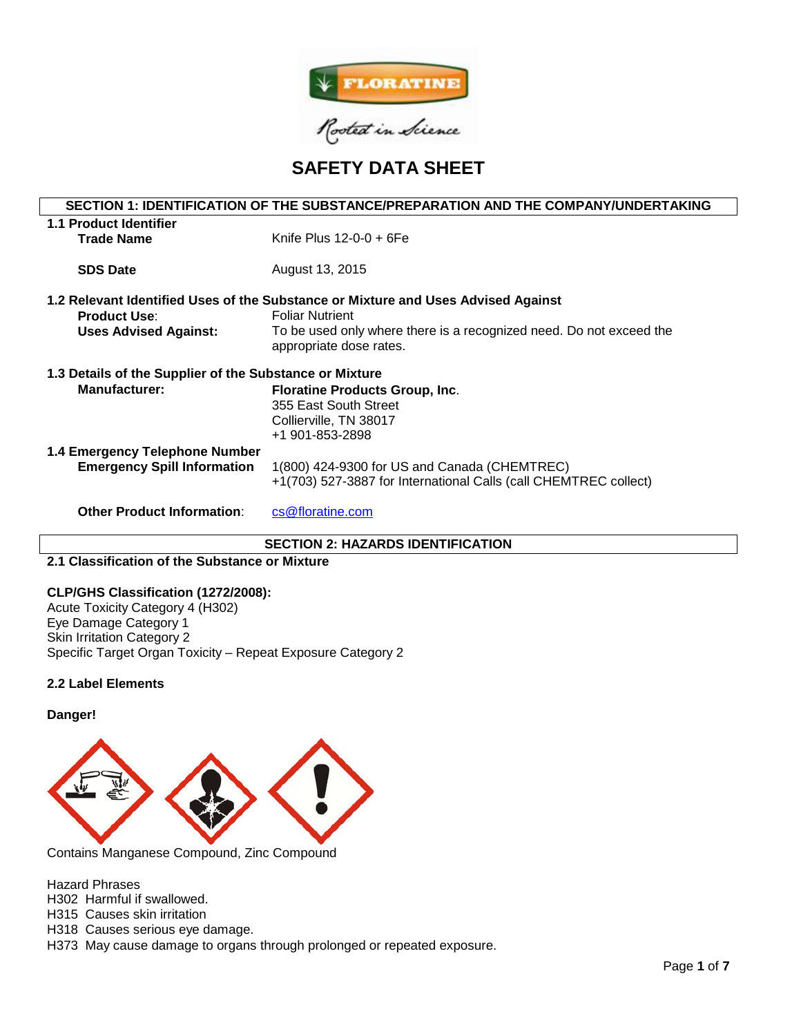

# **SAFETY DATA SHEET**

| SECTION 1: IDENTIFICATION OF THE SUBSTANCE/PREPARATION AND THE COMPANY/UNDERTAKING |                                                                                                             |  |  |
|------------------------------------------------------------------------------------|-------------------------------------------------------------------------------------------------------------|--|--|
| 1.1 Product Identifier                                                             |                                                                                                             |  |  |
| <b>Trade Name</b>                                                                  | Knife Plus $12-0-0+6Fe$                                                                                     |  |  |
|                                                                                    |                                                                                                             |  |  |
| <b>SDS Date</b>                                                                    | August 13, 2015                                                                                             |  |  |
|                                                                                    |                                                                                                             |  |  |
|                                                                                    | 1.2 Relevant Identified Uses of the Substance or Mixture and Uses Advised Against<br><b>Foliar Nutrient</b> |  |  |
| <b>Product Use:</b>                                                                |                                                                                                             |  |  |
| <b>Uses Advised Against:</b>                                                       | To be used only where there is a recognized need. Do not exceed the                                         |  |  |
|                                                                                    | appropriate dose rates.                                                                                     |  |  |
| 1.3 Details of the Supplier of the Substance or Mixture                            |                                                                                                             |  |  |
| <b>Manufacturer:</b>                                                               | <b>Floratine Products Group, Inc.</b>                                                                       |  |  |
|                                                                                    | 355 East South Street                                                                                       |  |  |
|                                                                                    | Collierville, TN 38017                                                                                      |  |  |
|                                                                                    | +1 901-853-2898                                                                                             |  |  |
|                                                                                    |                                                                                                             |  |  |
| 1.4 Emergency Telephone Number                                                     |                                                                                                             |  |  |
| <b>Emergency Spill Information</b>                                                 | 1(800) 424-9300 for US and Canada (CHEMTREC)                                                                |  |  |
|                                                                                    | +1(703) 527-3887 for International Calls (call CHEMTREC collect)                                            |  |  |
| <b>Other Product Information:</b>                                                  | cs@floratine.com                                                                                            |  |  |
|                                                                                    |                                                                                                             |  |  |

## **SECTION 2: HAZARDS IDENTIFICATION**

## **2.1 Classification of the Substance or Mixture**

#### **CLP/GHS Classification (1272/2008):**

Acute Toxicity Category 4 (H302) Eye Damage Category 1 Skin Irritation Category 2 Specific Target Organ Toxicity – Repeat Exposure Category 2

## **2.2 Label Elements**

**Danger!**



Contains Manganese Compound, Zinc Compound

Hazard Phrases

H302 Harmful if swallowed.

H315 Causes skin irritation

H318 Causes serious eye damage.

H373 May cause damage to organs through prolonged or repeated exposure.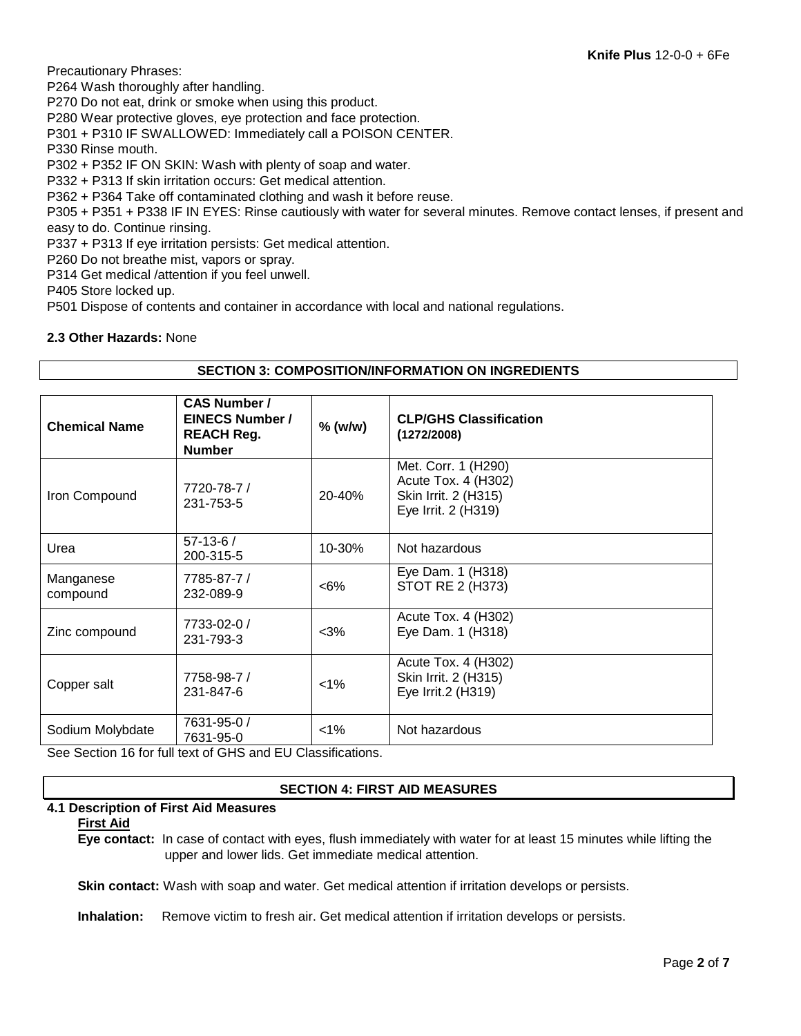Precautionary Phrases:

P264 Wash thoroughly after handling.

P270 Do not eat, drink or smoke when using this product.

P280 Wear protective gloves, eye protection and face protection.

P301 + P310 IF SWALLOWED: Immediately call a POISON CENTER.

P330 Rinse mouth.

P302 + P352 IF ON SKIN: Wash with plenty of soap and water.

P332 + P313 If skin irritation occurs: Get medical attention.

P362 + P364 Take off contaminated clothing and wash it before reuse.

P305 + P351 + P338 IF IN EYES: Rinse cautiously with water for several minutes. Remove contact lenses, if present and easy to do. Continue rinsing.

P337 + P313 If eye irritation persists: Get medical attention.

P260 Do not breathe mist, vapors or spray.

P314 Get medical /attention if you feel unwell.

P405 Store locked up.

P501 Dispose of contents and container in accordance with local and national regulations.

# **2.3 Other Hazards:** None

# **SECTION 3: COMPOSITION/INFORMATION ON INGREDIENTS**

| <b>Chemical Name</b>  | <b>CAS Number /</b><br><b>EINECS Number /</b><br><b>REACH Reg.</b><br><b>Number</b>      | $%$ (w/w) | <b>CLP/GHS Classification</b><br>(1272/2008)                                              |
|-----------------------|------------------------------------------------------------------------------------------|-----------|-------------------------------------------------------------------------------------------|
| Iron Compound         | 7720-78-7 /<br>231-753-5                                                                 | 20-40%    | Met. Corr. 1 (H290)<br>Acute Tox. 4 (H302)<br>Skin Irrit. 2 (H315)<br>Eye Irrit. 2 (H319) |
| Urea                  | $57-13-6/$<br>200-315-5                                                                  | 10-30%    | Not hazardous                                                                             |
| Manganese<br>compound | 7785-87-7 /<br>232-089-9                                                                 | $<6\%$    | Eye Dam. 1 (H318)<br>STOT RE 2 (H373)                                                     |
| Zinc compound         | 7733-02-0 /<br>231-793-3                                                                 | $<$ 3%    | Acute Tox. 4 (H302)<br>Eye Dam. 1 (H318)                                                  |
| Copper salt           | 7758-98-7 /<br>231-847-6                                                                 | $< 1\%$   | Acute Tox. 4 (H302)<br>Skin Irrit. 2 (H315)<br>Eye Irrit.2 (H319)                         |
| Sodium Molybdate      | 7631-95-0 /<br>7631-95-0<br>Can Continue 16 for full tout of CUC and ELL Closeifications | $< 1\%$   | Not hazardous                                                                             |

See Section 16 for full text of GHS and EU Classifications.

# **SECTION 4: FIRST AID MEASURES**

#### **4.1 Description of First Aid Measures**

#### **First Aid**

**Eye contact:** In case of contact with eyes, flush immediately with water for at least 15 minutes while lifting the upper and lower lids. Get immediate medical attention.

**Skin contact:** Wash with soap and water. Get medical attention if irritation develops or persists.

**Inhalation:** Remove victim to fresh air. Get medical attention if irritation develops or persists.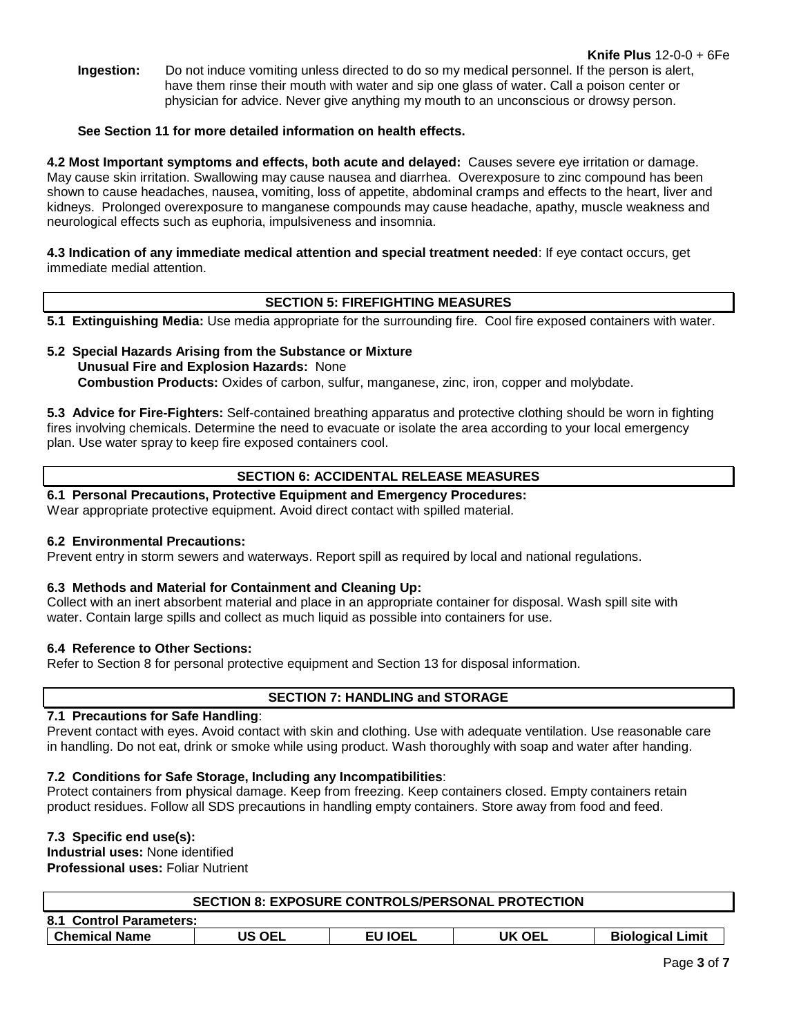**Ingestion:** Do not induce vomiting unless directed to do so my medical personnel. If the person is alert, have them rinse their mouth with water and sip one glass of water. Call a poison center or physician for advice. Never give anything my mouth to an unconscious or drowsy person.

## **See Section 11 for more detailed information on health effects.**

**4.2 Most Important symptoms and effects, both acute and delayed:** Causes severe eye irritation or damage. May cause skin irritation. Swallowing may cause nausea and diarrhea. Overexposure to zinc compound has been shown to cause headaches, nausea, vomiting, loss of appetite, abdominal cramps and effects to the heart, liver and kidneys. Prolonged overexposure to manganese compounds may cause headache, apathy, muscle weakness and neurological effects such as euphoria, impulsiveness and insomnia.

**4.3 Indication of any immediate medical attention and special treatment needed**: If eye contact occurs, get immediate medial attention.

## **SECTION 5: FIREFIGHTING MEASURES**

**5.1 Extinguishing Media:** Use media appropriate for the surrounding fire. Cool fire exposed containers with water.

## **5.2 Special Hazards Arising from the Substance or Mixture Unusual Fire and Explosion Hazards:** None **Combustion Products:** Oxides of carbon, sulfur, manganese, zinc, iron, copper and molybdate.

**5.3 Advice for Fire-Fighters:** Self-contained breathing apparatus and protective clothing should be worn in fighting fires involving chemicals. Determine the need to evacuate or isolate the area according to your local emergency plan. Use water spray to keep fire exposed containers cool.

# **SECTION 6: ACCIDENTAL RELEASE MEASURES**

**6.1 Personal Precautions, Protective Equipment and Emergency Procedures:**  Wear appropriate protective equipment. Avoid direct contact with spilled material.

#### **6.2 Environmental Precautions:**

Prevent entry in storm sewers and waterways. Report spill as required by local and national regulations.

# **6.3 Methods and Material for Containment and Cleaning Up:**

Collect with an inert absorbent material and place in an appropriate container for disposal. Wash spill site with water. Contain large spills and collect as much liquid as possible into containers for use.

#### **6.4 Reference to Other Sections:**

Refer to Section 8 for personal protective equipment and Section 13 for disposal information.

#### **SECTION 7: HANDLING and STORAGE**

#### **7.1 Precautions for Safe Handling**:

Prevent contact with eyes. Avoid contact with skin and clothing. Use with adequate ventilation. Use reasonable care in handling. Do not eat, drink or smoke while using product. Wash thoroughly with soap and water after handing.

#### **7.2 Conditions for Safe Storage, Including any Incompatibilities**:

Protect containers from physical damage. Keep from freezing. Keep containers closed. Empty containers retain product residues. Follow all SDS precautions in handling empty containers. Store away from food and feed.

### **7.3 Specific end use(s):**

**Industrial uses:** None identified **Professional uses:** Foliar Nutrient

| <b>SECTION 8: EXPOSURE CONTROLS/PERSONAL PROTECTION</b> |               |                |        |                         |
|---------------------------------------------------------|---------------|----------------|--------|-------------------------|
| 8.1 Control Parameters:                                 |               |                |        |                         |
| <b>Chemical Name</b>                                    | <b>US OEL</b> | <b>EU IOEL</b> | UK OEL | <b>Biological Limit</b> |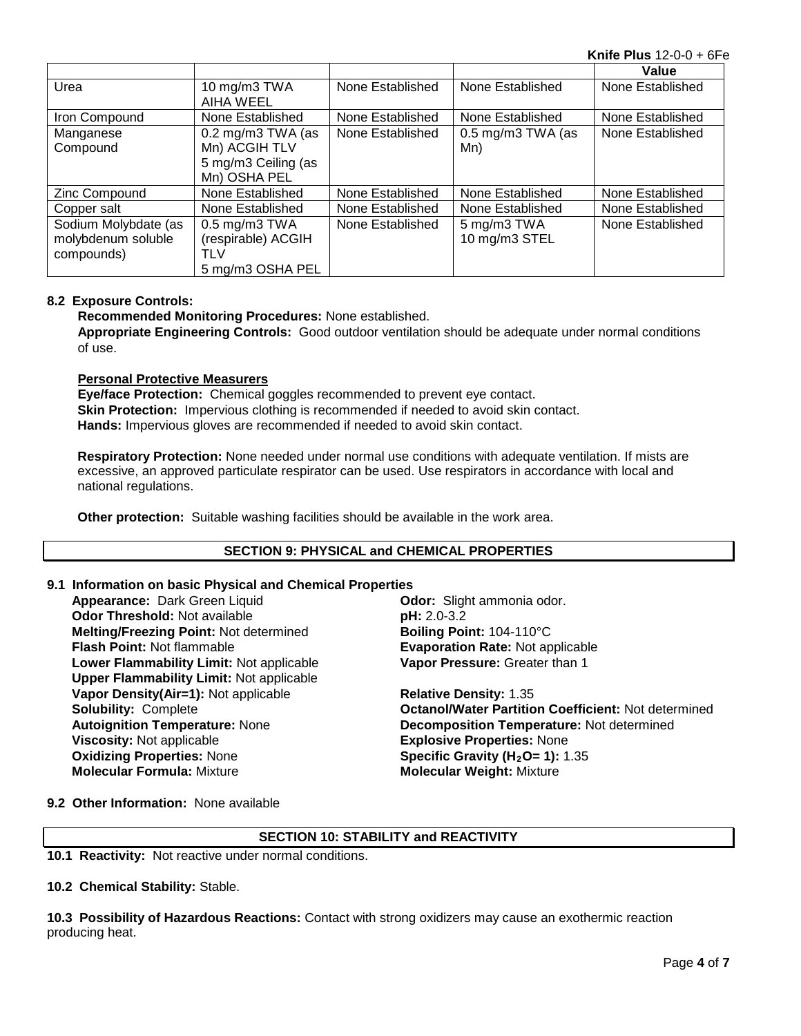**Knife Plus** 12-0-0 + 6Fe

|                      |                                     |                  |                     | Value            |
|----------------------|-------------------------------------|------------------|---------------------|------------------|
| Urea                 | 10 mg/m3 TWA<br>AIHA WEEL           | None Established | None Established    | None Established |
| Iron Compound        | None Established                    | None Established | None Established    | None Established |
| Manganese            | $0.2 \text{ mg/m}3 \text{ TWA}$ (as | None Established | $0.5$ mg/m3 TWA (as | None Established |
| Compound             | Mn) ACGIH TLV                       |                  | Mn)                 |                  |
|                      | 5 mg/m3 Ceiling (as                 |                  |                     |                  |
|                      | Mn) OSHA PEL                        |                  |                     |                  |
| Zinc Compound        | None Established                    | None Established | None Established    | None Established |
| Copper salt          | None Established                    | None Established | None Established    | None Established |
| Sodium Molybdate (as | $0.5$ mg/m $3$ TWA                  | None Established | 5 mg/m3 TWA         | None Established |
| molybdenum soluble   | (respirable) ACGIH                  |                  | 10 mg/m3 STEL       |                  |
| compounds)           | TLV                                 |                  |                     |                  |
|                      | 5 mg/m3 OSHA PEL                    |                  |                     |                  |

## **8.2 Exposure Controls:**

**Recommended Monitoring Procedures:** None established.

**Appropriate Engineering Controls:** Good outdoor ventilation should be adequate under normal conditions of use.

#### **Personal Protective Measurers**

**Eye/face Protection:** Chemical goggles recommended to prevent eye contact. **Skin Protection:** Impervious clothing is recommended if needed to avoid skin contact. **Hands:** Impervious gloves are recommended if needed to avoid skin contact.

**Respiratory Protection:** None needed under normal use conditions with adequate ventilation. If mists are excessive, an approved particulate respirator can be used. Use respirators in accordance with local and national regulations.

**Other protection:** Suitable washing facilities should be available in the work area.

#### **SECTION 9: PHYSICAL and CHEMICAL PROPERTIES**

#### **9.1 Information on basic Physical and Chemical Properties**

**Appearance:** Dark Green Liquid **Odor: Odor:** Slight ammonia odor.<br> **Odor Threshold:** Not available **Container School of the pH:** 2.0-3.2 **Odor Threshold: Not available Melting/Freezing Point: Not determined <b>Boiling Point:** 104-110°C<br>**Flash Point: N**ot flammable **Boston Control Boston Rate: Not** ap **Lower Flammability Limit:** Not applicable **Upper Flammability Limit:** Not applicable **Vapor Density(Air=1):** Not applicable **Relative Density:** 1.35 **Viscosity:** Not applicable **Explosive Properties:** None<br> **Oxidizing Properties:** None **Explosive Properties: 1):** 1 **Oxidizing Properties: None <b>Specific Gravity (H<sub>2</sub>O= 1):** 1.35<br> **Molecular Formula:** Mixture **State of Molecular Weight: Mixture** 

**Evaporation Rate: Not applicable Vapor Pressure:** Greater than 1

**Solubility:** Complete **Octanol/Water Partition Coefficient:** Not determined **Autoignition Temperature:** None **Decomposition Temperature:** Not determined **Molecular Weight: Mixture** 

**9.2 Other Information:** None available

# **SECTION 10: STABILITY and REACTIVITY**

**10.1 Reactivity:** Not reactive under normal conditions.

**10.2 Chemical Stability:** Stable.

**10.3 Possibility of Hazardous Reactions:** Contact with strong oxidizers may cause an exothermic reaction producing heat.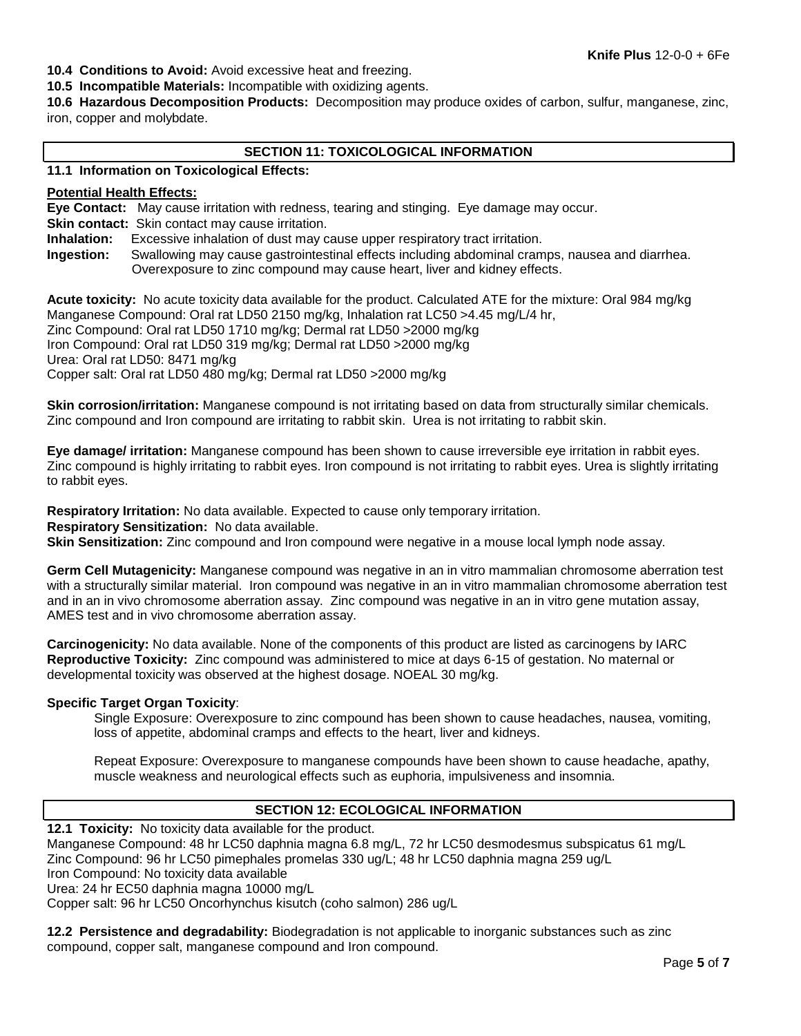**10.4 Conditions to Avoid:** Avoid excessive heat and freezing.

**10.5 Incompatible Materials:** Incompatible with oxidizing agents.

**10.6 Hazardous Decomposition Products:** Decomposition may produce oxides of carbon, sulfur, manganese, zinc, iron, copper and molybdate.

# **SECTION 11: TOXICOLOGICAL INFORMATION**

#### **11.1 Information on Toxicological Effects:**

#### **Potential Health Effects:**

**Eye Contact:** May cause irritation with redness, tearing and stinging. Eye damage may occur.

**Skin contact:** Skin contact may cause irritation.

**Inhalation:** Excessive inhalation of dust may cause upper respiratory tract irritation.

**Ingestion:** Swallowing may cause gastrointestinal effects including abdominal cramps, nausea and diarrhea. Overexposure to zinc compound may cause heart, liver and kidney effects.

**Acute toxicity:** No acute toxicity data available for the product. Calculated ATE for the mixture: Oral 984 mg/kg Manganese Compound: Oral rat LD50 2150 mg/kg, Inhalation rat LC50 >4.45 mg/L/4 hr, Zinc Compound: Oral rat LD50 1710 mg/kg; Dermal rat LD50 >2000 mg/kg Iron Compound: Oral rat LD50 319 mg/kg; Dermal rat LD50 >2000 mg/kg Urea: Oral rat LD50: 8471 mg/kg Copper salt: Oral rat LD50 480 mg/kg; Dermal rat LD50 >2000 mg/kg

**Skin corrosion/irritation:** Manganese compound is not irritating based on data from structurally similar chemicals. Zinc compound and Iron compound are irritating to rabbit skin. Urea is not irritating to rabbit skin.

**Eye damage/ irritation:** Manganese compound has been shown to cause irreversible eye irritation in rabbit eyes. Zinc compound is highly irritating to rabbit eyes. Iron compound is not irritating to rabbit eyes. Urea is slightly irritating to rabbit eyes.

**Respiratory Irritation:** No data available. Expected to cause only temporary irritation. **Respiratory Sensitization:** No data available. **Skin Sensitization:** Zinc compound and Iron compound were negative in a mouse local lymph node assay.

**Germ Cell Mutagenicity:** Manganese compound was negative in an in vitro mammalian chromosome aberration test with a structurally similar material. Iron compound was negative in an in vitro mammalian chromosome aberration test and in an in vivo chromosome aberration assay. Zinc compound was negative in an in vitro gene mutation assay, AMES test and in vivo chromosome aberration assay.

**Carcinogenicity:** No data available. None of the components of this product are listed as carcinogens by IARC **Reproductive Toxicity:** Zinc compound was administered to mice at days 6-15 of gestation. No maternal or developmental toxicity was observed at the highest dosage. NOEAL 30 mg/kg.

#### **Specific Target Organ Toxicity**:

Single Exposure: Overexposure to zinc compound has been shown to cause headaches, nausea, vomiting, loss of appetite, abdominal cramps and effects to the heart, liver and kidneys.

Repeat Exposure: Overexposure to manganese compounds have been shown to cause headache, apathy, muscle weakness and neurological effects such as euphoria, impulsiveness and insomnia.

## **SECTION 12: ECOLOGICAL INFORMATION**

**12.1 Toxicity:** No toxicity data available for the product.

Manganese Compound: 48 hr LC50 daphnia magna 6.8 mg/L, 72 hr LC50 desmodesmus subspicatus 61 mg/L Zinc Compound: 96 hr LC50 pimephales promelas 330 ug/L; 48 hr LC50 daphnia magna 259 ug/L

Iron Compound: No toxicity data available

Urea: 24 hr EC50 daphnia magna 10000 mg/L

Copper salt: 96 hr LC50 Oncorhynchus kisutch (coho salmon) 286 ug/L

**12.2 Persistence and degradability:** Biodegradation is not applicable to inorganic substances such as zinc compound, copper salt, manganese compound and Iron compound.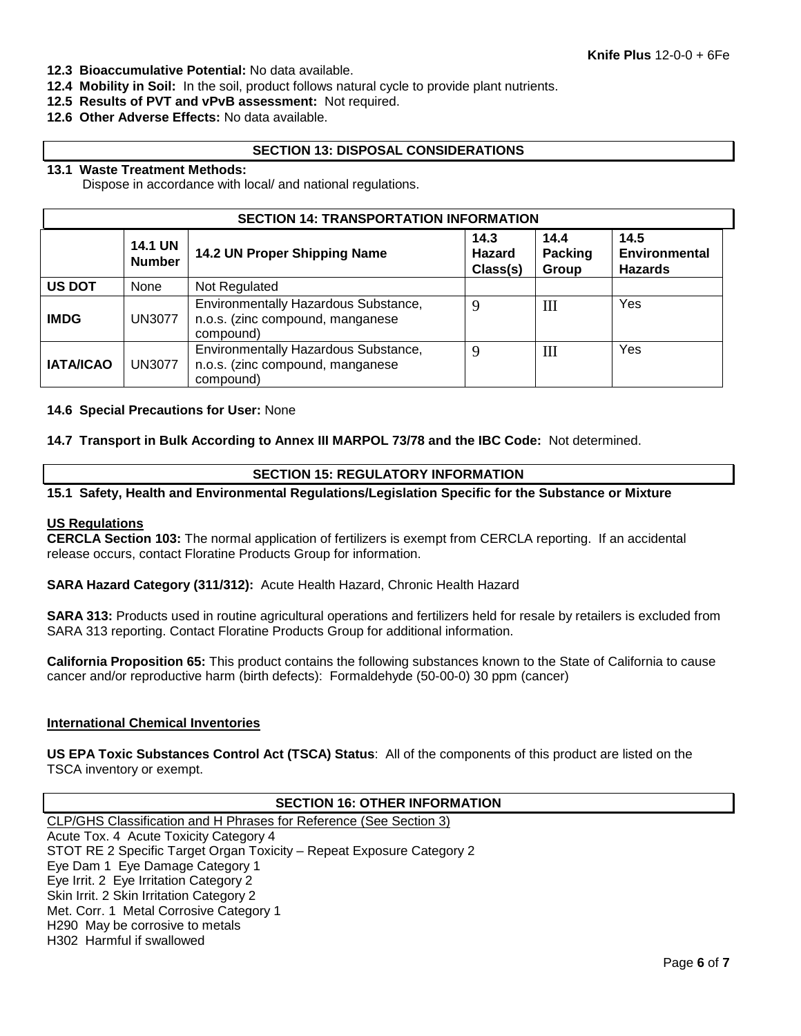- **12.3 Bioaccumulative Potential:** No data available.
- **12.4 Mobility in Soil:** In the soil, product follows natural cycle to provide plant nutrients.
- **12.5 Results of PVT and vPvB assessment:** Not required.
- **12.6 Other Adverse Effects:** No data available.

## **SECTION 13: DISPOSAL CONSIDERATIONS**

#### **13.1 Waste Treatment Methods:**

Dispose in accordance with local/ and national regulations.

| <b>SECTION 14: TRANSPORTATION INFORMATION</b> |                                 |                                                                                       |                                   |                          |                                                |
|-----------------------------------------------|---------------------------------|---------------------------------------------------------------------------------------|-----------------------------------|--------------------------|------------------------------------------------|
|                                               | <b>14.1 UN</b><br><b>Number</b> | 14.2 UN Proper Shipping Name                                                          | 14.3<br><b>Hazard</b><br>Class(s) | 14.4<br>Packing<br>Group | 14.5<br><b>Environmental</b><br><b>Hazards</b> |
| <b>US DOT</b>                                 | None                            | Not Regulated                                                                         |                                   |                          |                                                |
| <b>IMDG</b>                                   | <b>UN3077</b>                   | Environmentally Hazardous Substance,<br>n.o.s. (zinc compound, manganese<br>compound) | 9                                 | III                      | Yes                                            |
| <b>IATA/ICAO</b>                              | <b>UN3077</b>                   | Environmentally Hazardous Substance,<br>n.o.s. (zinc compound, manganese<br>compound) | 9                                 | Ш                        | Yes                                            |

#### **14.6 Special Precautions for User:** None

**14.7 Transport in Bulk According to Annex III MARPOL 73/78 and the IBC Code:** Not determined.

# **SECTION 15: REGULATORY INFORMATION**

#### **15.1 Safety, Health and Environmental Regulations/Legislation Specific for the Substance or Mixture**

#### **US Regulations**

**CERCLA Section 103:** The normal application of fertilizers is exempt from CERCLA reporting. If an accidental release occurs, contact Floratine Products Group for information.

**SARA Hazard Category (311/312):** Acute Health Hazard, Chronic Health Hazard

**SARA 313:** Products used in routine agricultural operations and fertilizers held for resale by retailers is excluded from SARA 313 reporting. Contact Floratine Products Group for additional information.

**California Proposition 65:** This product contains the following substances known to the State of California to cause cancer and/or reproductive harm (birth defects): Formaldehyde (50-00-0) 30 ppm (cancer)

#### **International Chemical Inventories**

**US EPA Toxic Substances Control Act (TSCA) Status**: All of the components of this product are listed on the TSCA inventory or exempt.

#### **SECTION 16: OTHER INFORMATION**

CLP/GHS Classification and H Phrases for Reference (See Section 3) Acute Tox. 4 Acute Toxicity Category 4 STOT RE 2 Specific Target Organ Toxicity – Repeat Exposure Category 2 Eye Dam 1 Eye Damage Category 1 Eye Irrit. 2 Eye Irritation Category 2 Skin Irrit. 2 Skin Irritation Category 2 Met. Corr. 1 Metal Corrosive Category 1 H290 May be corrosive to metals H302 Harmful if swallowed